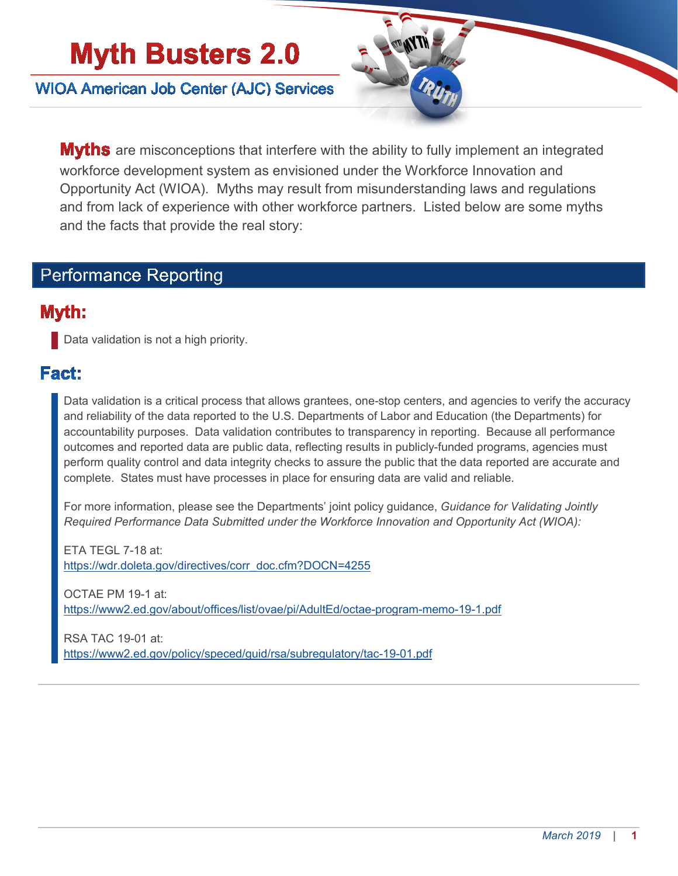# **Myth Busters 2.0**

**WIOA American Job Center (AJC) Services** 



**Myths** are misconceptions that interfere with the ability to fully implement an integrated workforce development system as envisioned under the Workforce Innovation and Opportunity Act (WIOA). Myths may result from misunderstanding laws and regulations and from lack of experience with other workforce partners. Listed below are some myths and the facts that provide the real story:

#### **Performance Reporting**

#### Myth:

**Data validation is not a high priority.** 

### Fact:

Data validation is a critical process that allows grantees, one-stop centers, and agencies to verify the accuracy and reliability of the data reported to the U.S. Departments of Labor and Education (the Departments) for accountability purposes. Data validation contributes to transparency in reporting. Because all performance outcomes and reported data are public data, reflecting results in publicly-funded programs, agencies must perform quality control and data integrity checks to assure the public that the data reported are accurate and complete. States must have processes in place for ensuring data are valid and reliable.

For more information, please see the Departments' joint policy guidance, *Guidance for Validating Jointly Required Performance Data Submitted under the Workforce Innovation and Opportunity Act (WIOA):*

ETA TEGL 7-18 at: [https://wdr.doleta.gov/directives/corr\\_doc.cfm?DOCN=4255](https://wdr.doleta.gov/directives/corr_doc.cfm?DOCN=4255)

OCTAE PM 19-1 at: <https://www2.ed.gov/about/offices/list/ovae/pi/AdultEd/octae-program-memo-19-1.pdf>

RSA TAC 19-01 at: <https://www2.ed.gov/policy/speced/guid/rsa/subregulatory/tac-19-01.pdf>